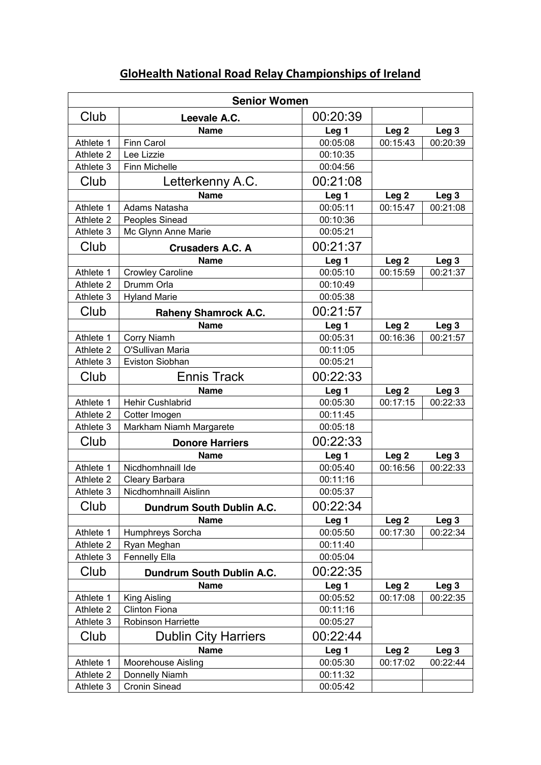| <b>Senior Women</b>  |                             |                  |                  |                  |  |  |
|----------------------|-----------------------------|------------------|------------------|------------------|--|--|
| Club                 | Leevale A.C.                | 00:20:39         |                  |                  |  |  |
|                      | <b>Name</b>                 | Leg <sub>1</sub> | Leg <sub>2</sub> | Leg <sub>3</sub> |  |  |
| Athlete 1            | <b>Finn Carol</b>           | 00:05:08         | 00:15:43         | 00:20:39         |  |  |
| Athlete 2            | Lee Lizzie                  | 00:10:35         |                  |                  |  |  |
| Athlete 3            | Finn Michelle               | 00:04:56         |                  |                  |  |  |
| Club                 | Letterkenny A.C.            | 00:21:08         |                  |                  |  |  |
|                      | <b>Name</b>                 | Leg <sub>1</sub> | Leg <sub>2</sub> | Leg <sub>3</sub> |  |  |
| Athlete 1            | Adams Natasha               | 00:05:11         | 00:15:47         | 00:21:08         |  |  |
| Athlete 2            | Peoples Sinead              | 00:10:36         |                  |                  |  |  |
| Athlete 3            | Mc Glynn Anne Marie         | 00:05:21         |                  |                  |  |  |
| Club                 | <b>Crusaders A.C. A</b>     | 00:21:37         |                  |                  |  |  |
|                      | <b>Name</b>                 | Leg <sub>1</sub> | Leg <sub>2</sub> | Leg <sub>3</sub> |  |  |
| Athlete 1            | <b>Crowley Caroline</b>     | 00:05:10         | 00:15:59         | 00:21:37         |  |  |
| Athlete 2            | Drumm Orla                  | 00:10:49         |                  |                  |  |  |
| Athlete 3            | <b>Hyland Marie</b>         | 00:05:38         |                  |                  |  |  |
| Club                 | <b>Raheny Shamrock A.C.</b> | 00:21:57         |                  |                  |  |  |
|                      | <b>Name</b>                 | Leg <sub>1</sub> | Leg <sub>2</sub> | Leg <sub>3</sub> |  |  |
| Athlete 1            | Corry Niamh                 | 00:05:31         | 00:16:36         | 00:21:57         |  |  |
| Athlete 2            | O'Sullivan Maria            | 00:11:05         |                  |                  |  |  |
| Athlete 3            | Eviston Siobhan             | 00:05:21         |                  |                  |  |  |
| Club                 | <b>Ennis Track</b>          | 00:22:33         |                  |                  |  |  |
|                      | <b>Name</b>                 | Leg <sub>1</sub> | Leg <sub>2</sub> | Leg <sub>3</sub> |  |  |
| Athlete 1            | Hehir Cushlabrid            | 00:05:30         | 00:17:15         | 00:22:33         |  |  |
| Athlete 2            | Cotter Imogen               | 00:11:45         |                  |                  |  |  |
| Athlete 3            | Markham Niamh Margarete     | 00:05:18         |                  |                  |  |  |
| Club                 | <b>Donore Harriers</b>      | 00:22:33         |                  |                  |  |  |
|                      | <b>Name</b>                 | Leg <sub>1</sub> | Leg <sub>2</sub> | Leg <sub>3</sub> |  |  |
| Athlete 1            | Nicdhomhnaill Ide           | 00:05:40         | 00:16:56         | 00:22:33         |  |  |
| Athlete 2            | Cleary Barbara              | 00:11:16         |                  |                  |  |  |
| Athlete 3            | Nicdhomhnaill Aislinn       | 00:05:37         |                  |                  |  |  |
| Club                 | Dundrum South Dublin A.C.   | 00:22:34         |                  |                  |  |  |
|                      | <b>Name</b>                 | Leg <sub>1</sub> | Leg <sub>2</sub> | Leg <sub>3</sub> |  |  |
| Athlete 1            | Humphreys Sorcha            | 00:05:50         | 00:17:30         | 00:22:34         |  |  |
| Athlete <sub>2</sub> | Ryan Meghan                 | 00:11:40         |                  |                  |  |  |
| Athlete 3            | <b>Fennelly Ella</b>        | 00:05:04         |                  |                  |  |  |
| Club                 | Dundrum South Dublin A.C.   | 00:22:35         |                  |                  |  |  |
|                      | <b>Name</b>                 | Leg <sub>1</sub> | Leg <sub>2</sub> | Leg <sub>3</sub> |  |  |
| Athlete 1            | King Aisling                | 00:05:52         | 00:17:08         | 00:22:35         |  |  |
| Athlete 2            | <b>Clinton Fiona</b>        | 00:11:16         |                  |                  |  |  |
| Athlete 3            | Robinson Harriette          | 00:05:27         |                  |                  |  |  |
| Club                 | <b>Dublin City Harriers</b> | 00:22:44         |                  |                  |  |  |
|                      | <b>Name</b>                 | Leg <sub>1</sub> | Leg <sub>2</sub> | Leg <sub>3</sub> |  |  |
| Athlete 1            | <b>Moorehouse Aisling</b>   | 00:05:30         | 00:17:02         | 00:22:44         |  |  |
| Athlete 2            | Donnelly Niamh              | 00:11:32         |                  |                  |  |  |
| Athlete 3            | Cronin Sinead               | 00:05:42         |                  |                  |  |  |

## **GloHealth National Road Relay Championships of Ireland**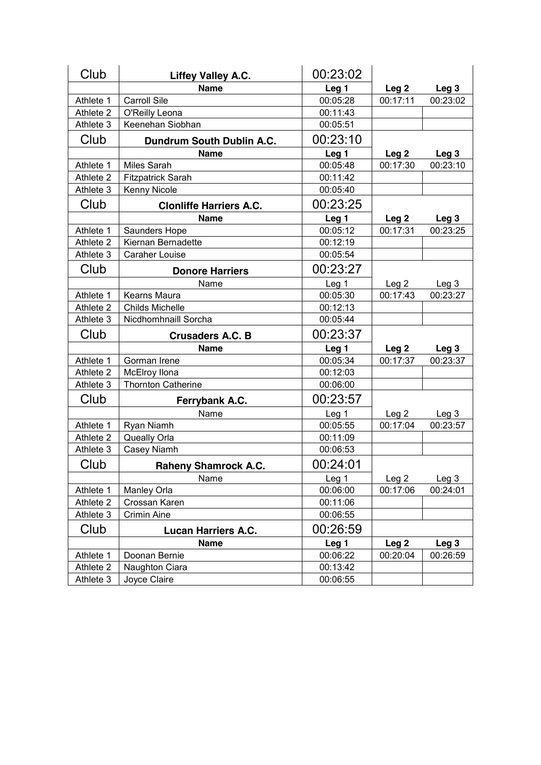| Club      | <b>Liffey Valley A.C.</b>      | 00:23:02         |                  |                  |
|-----------|--------------------------------|------------------|------------------|------------------|
|           | <b>Name</b>                    | Leg <sub>1</sub> | Leg <sub>2</sub> | Leg <sub>3</sub> |
| Athlete 1 | <b>Carroll Sile</b>            | 00:05:28         | 00:17:11         | 00:23:02         |
| Athlete 2 | O'Reilly Leona                 | 00:11:43         |                  |                  |
| Athlete 3 | Keenehan Siobhan               | 00:05:51         |                  |                  |
| Club      | Dundrum South Dublin A.C.      | 00:23:10         |                  |                  |
|           | <b>Name</b>                    | Leg <sub>1</sub> | Leg <sub>2</sub> | Leg <sub>3</sub> |
| Athlete 1 | <b>Miles Sarah</b>             | 00:05:48         | 00:17:30         | 00:23:10         |
| Athlete 2 | <b>Fitzpatrick Sarah</b>       | 00:11:42         |                  |                  |
| Athlete 3 | Kenny Nicole                   | 00:05:40         |                  |                  |
| Club      | <b>Clonliffe Harriers A.C.</b> | 00:23:25         |                  |                  |
|           | <b>Name</b>                    | Leg <sub>1</sub> | Leg <sub>2</sub> | Leg <sub>3</sub> |
| Athlete 1 | Saunders Hope                  | 00:05:12         | 00:17:31         | 00:23:25         |
| Athlete 2 | Kiernan Bernadette             | 00:12:19         |                  |                  |
| Athlete 3 | <b>Caraher Louise</b>          | 00:05:54         |                  |                  |
| Club      | <b>Donore Harriers</b>         | 00:23:27         |                  |                  |
|           | Name                           | Leg <sub>1</sub> | Leg <sub>2</sub> | Leg <sub>3</sub> |
| Athlete 1 | Kearns Maura                   | 00:05:30         | 00:17:43         | 00:23:27         |
| Athlete 2 | <b>Childs Michelle</b>         | 00:12:13         |                  |                  |
| Athlete 3 | Nicdhomhnaill Sorcha           | 00:05:44         |                  |                  |
| Club      | <b>Crusaders A.C. B</b>        | 00:23:37         |                  |                  |
|           | <b>Name</b>                    | Leg <sub>1</sub> | Leg <sub>2</sub> | Leg <sub>3</sub> |
| Athlete 1 | Gorman Irene                   | 00:05:34         | 00:17:37         | 00:23:37         |
| Athlete 2 | McElroy Ilona                  | 00:12:03         |                  |                  |
| Athlete 3 | <b>Thornton Catherine</b>      | 00:06:00         |                  |                  |
| Club      | Ferrybank A.C.                 | 00:23:57         |                  |                  |
|           | Name                           | Leg <sub>1</sub> | Leg <sub>2</sub> | Leg <sub>3</sub> |
| Athlete 1 | Ryan Niamh                     | 00:05:55         | 00:17:04         | 00:23:57         |
| Athlete 2 | Queally Orla                   | 00:11:09         |                  |                  |
| Athlete 3 | Casey Niamh                    | 00:06:53         |                  |                  |
| Club      | <b>Raheny Shamrock A.C.</b>    | 00:24:01         |                  |                  |
|           | Name                           | Leg <sub>1</sub> | Leg <sub>2</sub> | Leg <sub>3</sub> |
| Athlete 1 | Manley Orla                    | 00:06:00         | 00:17:06         | 00:24:01         |
| Athlete 2 | Crossan Karen                  | 00:11:06         |                  |                  |
| Athlete 3 | <b>Crimin Aine</b>             | 00:06:55         |                  |                  |
| Club      | <b>Lucan Harriers A.C.</b>     | 00:26:59         |                  |                  |
|           | <b>Name</b>                    | Leg <sub>1</sub> | Leg <sub>2</sub> | Leg <sub>3</sub> |
| Athlete 1 | Doonan Bernie                  | 00:06:22         | 00:20:04         | 00:26:59         |
| Athlete 2 | Naughton Ciara                 | 00:13:42         |                  |                  |
| Athlete 3 | Joyce Claire                   | 00:06:55         |                  |                  |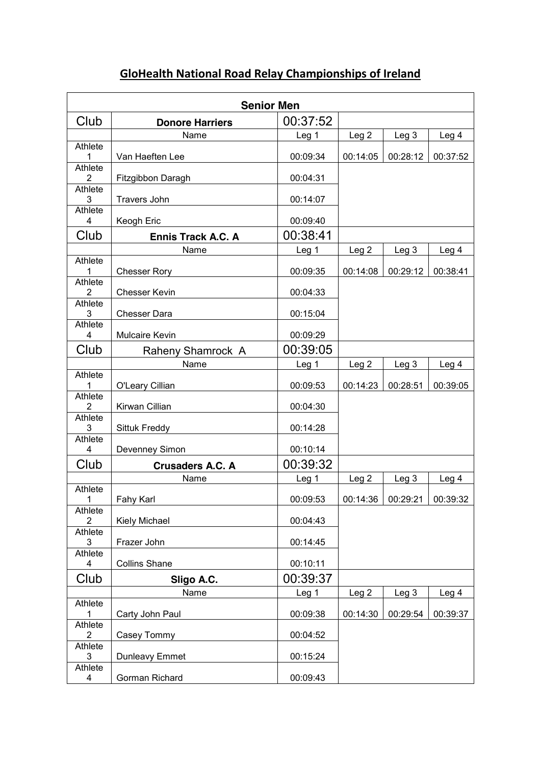|                                    | <b>Senior Men</b>         |          |                  |                  |                  |  |
|------------------------------------|---------------------------|----------|------------------|------------------|------------------|--|
| Club                               | <b>Donore Harriers</b>    | 00:37:52 |                  |                  |                  |  |
|                                    | Name                      | Leg 1    | Leg <sub>2</sub> | Leg <sub>3</sub> | Leg <sub>4</sub> |  |
| Athlete<br>1                       | Van Haeften Lee           | 00:09:34 | 00:14:05         | 00:28:12         | 00:37:52         |  |
| Athlete<br>$\overline{2}$          | Fitzgibbon Daragh         | 00:04:31 |                  |                  |                  |  |
| Athlete<br>3                       | <b>Travers John</b>       | 00:14:07 |                  |                  |                  |  |
| Athlete<br>4                       | Keogh Eric                | 00:09:40 |                  |                  |                  |  |
| Club                               | <b>Ennis Track A.C. A</b> | 00:38:41 |                  |                  |                  |  |
|                                    | Name                      | Leg 1    | Leg <sub>2</sub> | Leg <sub>3</sub> | Leg 4            |  |
| Athlete<br>1                       | <b>Chesser Rory</b>       | 00:09:35 | 00:14:08         | 00:29:12         | 00:38:41         |  |
| Athlete<br>$\overline{2}$          | <b>Chesser Kevin</b>      | 00:04:33 |                  |                  |                  |  |
| Athlete<br>3                       | <b>Chesser Dara</b>       | 00:15:04 |                  |                  |                  |  |
| Athlete<br>4                       | <b>Mulcaire Kevin</b>     | 00:09:29 |                  |                  |                  |  |
| Club                               | Raheny Shamrock A         | 00:39:05 |                  |                  |                  |  |
|                                    | Name                      | Leg 1    | Leg <sub>2</sub> | Leg <sub>3</sub> | Leg 4            |  |
| Athlete<br>1                       | O'Leary Cillian           | 00:09:53 | 00:14:23         | 00:28:51         | 00:39:05         |  |
| Athlete<br>$\overline{2}$          | Kirwan Cillian            | 00:04:30 |                  |                  |                  |  |
| Athlete<br>3                       | Sittuk Freddy             | 00:14:28 |                  |                  |                  |  |
| Athlete<br>4                       | Devenney Simon            | 00:10:14 |                  |                  |                  |  |
| Club                               | <b>Crusaders A.C. A</b>   | 00:39:32 |                  |                  |                  |  |
|                                    | Name                      | Leg 1    | Leg <sub>2</sub> | Leg <sub>3</sub> | Leg 4            |  |
| Athlete<br>1                       | Fahy Karl                 | 00:09:53 | 00:14:36         | 00:29:21         | 00:39:32         |  |
| Athlete<br>2                       | <b>Kiely Michael</b>      | 00:04:43 |                  |                  |                  |  |
| Athlete<br>3                       | Frazer John               | 00:14:45 |                  |                  |                  |  |
| Athlete<br>4                       | <b>Collins Shane</b>      | 00:10:11 |                  |                  |                  |  |
| Club                               | Sligo A.C.                | 00:39:37 |                  |                  |                  |  |
|                                    | Name                      | Leg 1    | Leg <sub>2</sub> | Leg <sub>3</sub> | Leg 4            |  |
| Athlete<br>1                       | Carty John Paul           | 00:09:38 | 00:14:30         | 00:29:54         | 00:39:37         |  |
| Athlete<br>2                       | Casey Tommy               | 00:04:52 |                  |                  |                  |  |
| Athlete<br>3                       | <b>Dunleavy Emmet</b>     | 00:15:24 |                  |                  |                  |  |
| Athlete<br>$\overline{\mathbf{4}}$ | Gorman Richard            | 00:09:43 |                  |                  |                  |  |

## **GloHealth National Road Relay Championships of Ireland**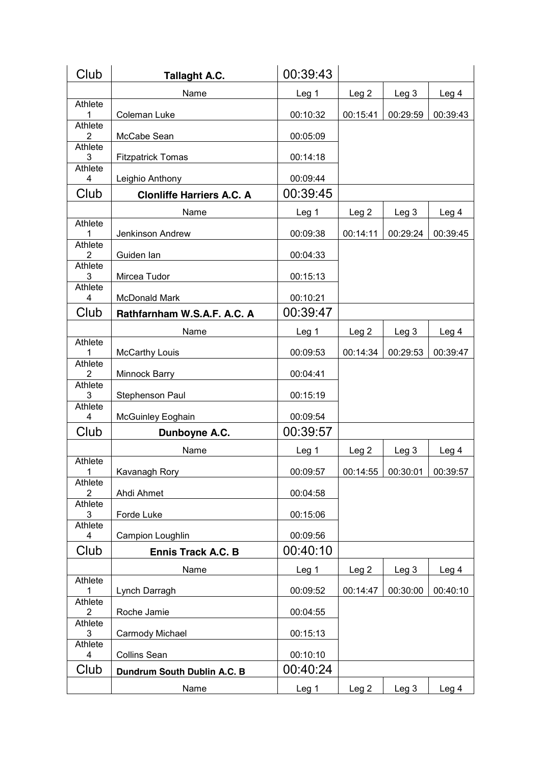| Club                             | <b>Tallaght A.C.</b>             | 00:39:43         |                  |                  |                  |
|----------------------------------|----------------------------------|------------------|------------------|------------------|------------------|
|                                  | Name                             | Leg 1            | Leg <sub>2</sub> | Leg <sub>3</sub> | Leg <sub>4</sub> |
| Athlete<br>1                     | Coleman Luke                     | 00:10:32         | 00:15:41         | 00:29:59         | 00:39:43         |
| <b>Athlete</b><br>$\overline{2}$ | McCabe Sean                      | 00:05:09         |                  |                  |                  |
| <b>Athlete</b><br>3              | <b>Fitzpatrick Tomas</b>         | 00:14:18         |                  |                  |                  |
| Athlete<br>4                     | Leighio Anthony                  | 00:09:44         |                  |                  |                  |
| Club                             | <b>Clonliffe Harriers A.C. A</b> | 00:39:45         |                  |                  |                  |
|                                  | Name                             | Leg <sub>1</sub> | Leg <sub>2</sub> | Leg <sub>3</sub> | Leg 4            |
| <b>Athlete</b><br>1              | Jenkinson Andrew                 | 00:09:38         | 00:14:11         | 00:29:24         | 00:39:45         |
| <b>Athlete</b>                   |                                  |                  |                  |                  |                  |
| 2<br>Athlete                     | Guiden Ian                       | 00:04:33         |                  |                  |                  |
| 3<br><b>Athlete</b>              | Mircea Tudor                     | 00:15:13         |                  |                  |                  |
| 4                                | McDonald Mark                    | 00:10:21         |                  |                  |                  |
| Club                             | Rathfarnham W.S.A.F. A.C. A      | 00:39:47         |                  |                  |                  |
|                                  | Name                             | Leg 1            | Leg <sub>2</sub> | Leg <sub>3</sub> | Leg 4            |
| Athlete<br>1                     | McCarthy Louis                   | 00:09:53         | 00:14:34         | 00:29:53         | 00:39:47         |
| <b>Athlete</b><br>$\overline{2}$ | Minnock Barry                    | 00:04:41         |                  |                  |                  |
| <b>Athlete</b><br>3              | Stephenson Paul                  | 00:15:19         |                  |                  |                  |
| Athlete<br>4                     | McGuinley Eoghain                | 00:09:54         |                  |                  |                  |
| Club                             | Dunboyne A.C.                    | 00:39:57         |                  |                  |                  |
|                                  | Name                             | Leg 1            | Leg <sub>2</sub> | Leg <sub>3</sub> | Leg <sub>4</sub> |
| Athlete<br>$\mathbf{1}$          | Kavanagh Rory                    | 00:09:57         | 00:14:55         | 00:30:01         | 00:39:57         |
| Athlete<br>$\overline{2}$        | Ahdi Ahmet                       | 00:04:58         |                  |                  |                  |
| Athlete<br>3                     | Forde Luke                       | 00:15:06         |                  |                  |                  |
| Athlete<br>4                     | Campion Loughlin                 | 00:09:56         |                  |                  |                  |
| Club                             | <b>Ennis Track A.C. B</b>        | 00:40:10         |                  |                  |                  |
|                                  | Name                             | Leg <sub>1</sub> | Leg <sub>2</sub> | Leg <sub>3</sub> | Leg 4            |
| Athlete<br>1                     | Lynch Darragh                    | 00:09:52         | 00:14:47         | 00:30:00         | 00:40:10         |
| Athlete<br>2                     | Roche Jamie                      | 00:04:55         |                  |                  |                  |
| Athlete<br>3                     | Carmody Michael                  | 00:15:13         |                  |                  |                  |
| Athlete<br>4                     | <b>Collins Sean</b>              | 00:10:10         |                  |                  |                  |
| Club                             | Dundrum South Dublin A.C. B      | 00:40:24         |                  |                  |                  |
|                                  | Name                             | Leg 1            | Leg <sub>2</sub> | Leg <sub>3</sub> | Leg 4            |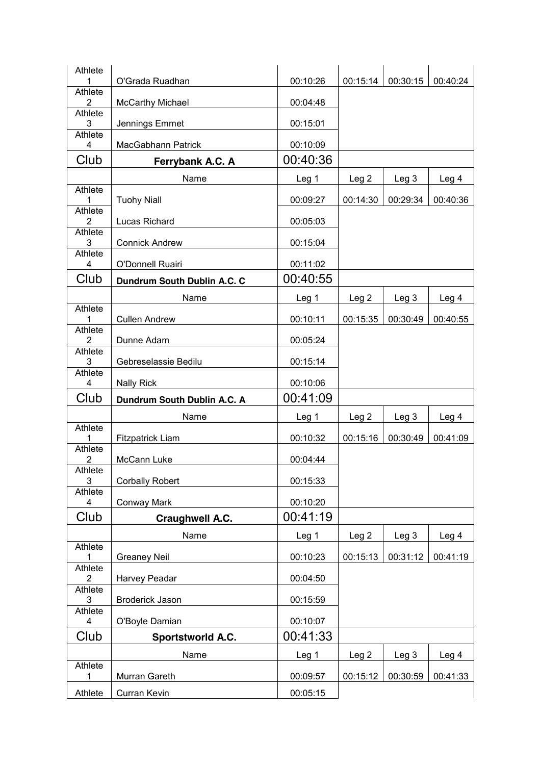| Athlete<br>1                     | O'Grada Ruadhan             | 00:10:26                     | 00:15:14                     | 00:30:15                     | 00:40:24                     |
|----------------------------------|-----------------------------|------------------------------|------------------------------|------------------------------|------------------------------|
| <b>Athlete</b>                   |                             |                              |                              |                              |                              |
| $\overline{2}$<br><b>Athlete</b> | <b>McCarthy Michael</b>     | 00:04:48                     |                              |                              |                              |
| 3                                | Jennings Emmet              | 00:15:01                     |                              |                              |                              |
| <b>Athlete</b><br>4              | MacGabhann Patrick          | 00:10:09                     |                              |                              |                              |
| Club                             | Ferrybank A.C. A            | 00:40:36                     |                              |                              |                              |
|                                  | Name                        | Leg 1                        | Leg <sub>2</sub>             | Leg <sub>3</sub>             | Leg 4                        |
| <b>Athlete</b><br>1              | <b>Tuohy Niall</b>          | 00:09:27                     | 00:14:30                     | 00:29:34                     | 00:40:36                     |
| <b>Athlete</b><br>2              | Lucas Richard               | 00:05:03                     |                              |                              |                              |
| <b>Athlete</b><br>3              | <b>Connick Andrew</b>       | 00:15:04                     |                              |                              |                              |
| <b>Athlete</b><br>4              | O'Donnell Ruairi            | 00:11:02                     |                              |                              |                              |
| Club                             | Dundrum South Dublin A.C. C | 00:40:55                     |                              |                              |                              |
|                                  | Name                        | Leg 1                        | Leg <sub>2</sub>             | Leg <sub>3</sub>             | Leg 4                        |
| Athlete<br>1                     | <b>Cullen Andrew</b>        | 00:10:11                     | 00:15:35                     | 00:30:49                     | 00:40:55                     |
| <b>Athlete</b><br>$\overline{2}$ | Dunne Adam                  | 00:05:24                     |                              |                              |                              |
| <b>Athlete</b>                   |                             |                              |                              |                              |                              |
| 3<br>Athlete                     | Gebreselassie Bedilu        | 00:15:14                     |                              |                              |                              |
| 4                                | <b>Nally Rick</b>           | 00:10:06                     |                              |                              |                              |
| Club                             | Dundrum South Dublin A.C. A | 00:41:09                     |                              |                              |                              |
| Athlete                          | Name                        | Leg 1                        | Leg <sub>2</sub>             | Leg <sub>3</sub>             | Leg <sub>4</sub>             |
| 1                                | <b>Fitzpatrick Liam</b>     | 00:10:32                     | 00:15:16                     | 00:30:49                     | 00:41:09                     |
| Athlete<br>2                     | McCann Luke                 |                              |                              |                              |                              |
| Athlete                          |                             | 00:04:44                     |                              |                              |                              |
| 3                                | <b>Corbally Robert</b>      | 00:15:33                     |                              |                              |                              |
| <b>Athlete</b>                   |                             |                              |                              |                              |                              |
| 4<br>Club                        | Conway Mark                 | 00:10:20<br>00:41:19         |                              |                              |                              |
|                                  | Craughwell A.C.<br>Name     |                              |                              |                              |                              |
| Athlete<br>1                     | <b>Greaney Neil</b>         | Leg <sub>1</sub><br>00:10:23 | Leg <sub>2</sub><br>00:15:13 | Leg <sub>3</sub><br>00:31:12 | Leg <sub>4</sub><br>00:41:19 |
| <b>Athlete</b><br>2              | Harvey Peadar               | 00:04:50                     |                              |                              |                              |
| Athlete                          |                             |                              |                              |                              |                              |
| 3<br>Athlete                     | Broderick Jason             | 00:15:59                     |                              |                              |                              |
| 4                                | O'Boyle Damian              | 00:10:07                     |                              |                              |                              |
| Club                             | <b>Sportstworld A.C.</b>    | 00:41:33                     |                              |                              |                              |
| <b>Athlete</b>                   | Name                        | Leg 1                        | Leg <sub>2</sub>             | Leg <sub>3</sub>             | Leg 4                        |
| 1                                | Murran Gareth               | 00:09:57                     | 00:15:12                     | 00:30:59                     | 00:41:33                     |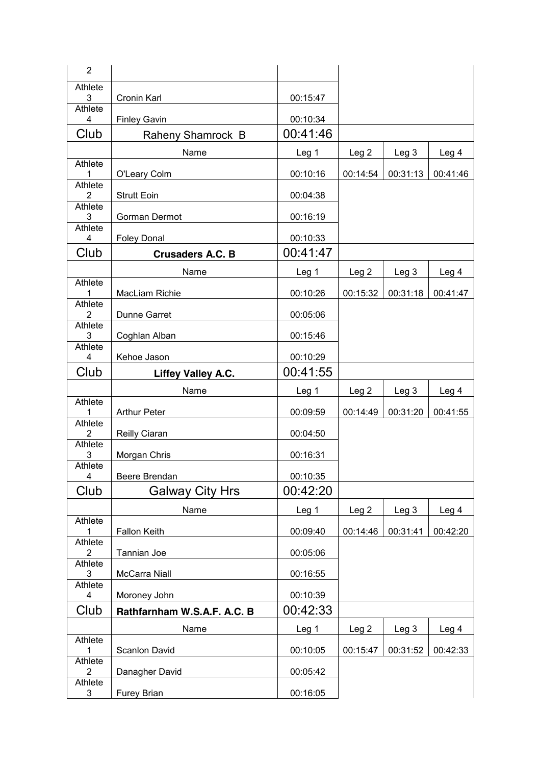| $\overline{2}$                   |                             |                  |                  |                  |                  |
|----------------------------------|-----------------------------|------------------|------------------|------------------|------------------|
| Athlete                          |                             |                  |                  |                  |                  |
| 3<br>Athlete                     | Cronin Karl                 | 00:15:47         |                  |                  |                  |
| 4                                | <b>Finley Gavin</b>         | 00:10:34         |                  |                  |                  |
| Club                             | Raheny Shamrock B           | 00:41:46         |                  |                  |                  |
|                                  | Name                        | Leg 1            | Leg <sub>2</sub> | Leg <sub>3</sub> | Leg <sub>4</sub> |
| Athlete                          |                             |                  |                  |                  |                  |
| 1<br>Athlete                     | O'Leary Colm                | 00:10:16         | 00:14:54         | 00:31:13         | 00:41:46         |
| 2                                | <b>Strutt Eoin</b>          | 00:04:38         |                  |                  |                  |
| Athlete<br>3                     | Gorman Dermot               | 00:16:19         |                  |                  |                  |
| Athlete                          |                             |                  |                  |                  |                  |
| 4                                | <b>Foley Donal</b>          | 00:10:33         |                  |                  |                  |
| Club                             | <b>Crusaders A.C. B</b>     | 00:41:47         |                  |                  |                  |
| Athlete                          | Name                        | Leg <sub>1</sub> | Leg <sub>2</sub> | Leg <sub>3</sub> | Leg <sub>4</sub> |
| 1                                | MacLiam Richie              | 00:10:26         | 00:15:32         | 00:31:18         | 00:41:47         |
| Athlete                          |                             |                  |                  |                  |                  |
| 2<br>Athlete                     | Dunne Garret                | 00:05:06         |                  |                  |                  |
| 3                                | Coghlan Alban               | 00:15:46         |                  |                  |                  |
| Athlete<br>4                     | Kehoe Jason                 | 00:10:29         |                  |                  |                  |
| Club                             |                             | 00:41:55         |                  |                  |                  |
|                                  |                             |                  |                  |                  |                  |
|                                  | <b>Liffey Valley A.C.</b>   |                  |                  |                  |                  |
| <b>Athlete</b>                   | Name                        | Leg 1            | Leg 2            | Leg <sub>3</sub> | Leg 4            |
| 1                                | <b>Arthur Peter</b>         | 00:09:59         | 00:14:49         | 00:31:20         | 00:41:55         |
| <b>Athlete</b><br>2              | Reilly Ciaran               | 00:04:50         |                  |                  |                  |
| Athlete                          |                             |                  |                  |                  |                  |
| 3<br>Athlete                     | Morgan Chris                | 00:16:31         |                  |                  |                  |
| $\overline{\mathbf{4}}$          | Beere Brendan               | 00:10:35         |                  |                  |                  |
| Club                             | <b>Galway City Hrs</b>      | 00:42:20         |                  |                  |                  |
|                                  | Name                        | Leg <sub>1</sub> | Leg <sub>2</sub> | Leg <sub>3</sub> | Leg 4            |
| Athlete<br>1                     | <b>Fallon Keith</b>         | 00:09:40         | 00:14:46         | 00:31:41         | 00:42:20         |
| <b>Athlete</b>                   |                             |                  |                  |                  |                  |
| $\overline{2}$<br><b>Athlete</b> | Tannian Joe                 | 00:05:06         |                  |                  |                  |
| 3                                | McCarra Niall               | 00:16:55         |                  |                  |                  |
| <b>Athlete</b><br>4              | Moroney John                | 00:10:39         |                  |                  |                  |
| Club                             | Rathfarnham W.S.A.F. A.C. B | 00:42:33         |                  |                  |                  |
|                                  | Name                        | Leg <sub>1</sub> | Leg <sub>2</sub> | Leg <sub>3</sub> | Leg <sub>4</sub> |
| Athlete                          |                             |                  |                  |                  |                  |
| 1<br><b>Athlete</b>              | Scanlon David               | 00:10:05         | 00:15:47         | 00:31:52         | 00:42:33         |
| $\overline{2}$<br>Athlete        | Danagher David              | 00:05:42         |                  |                  |                  |